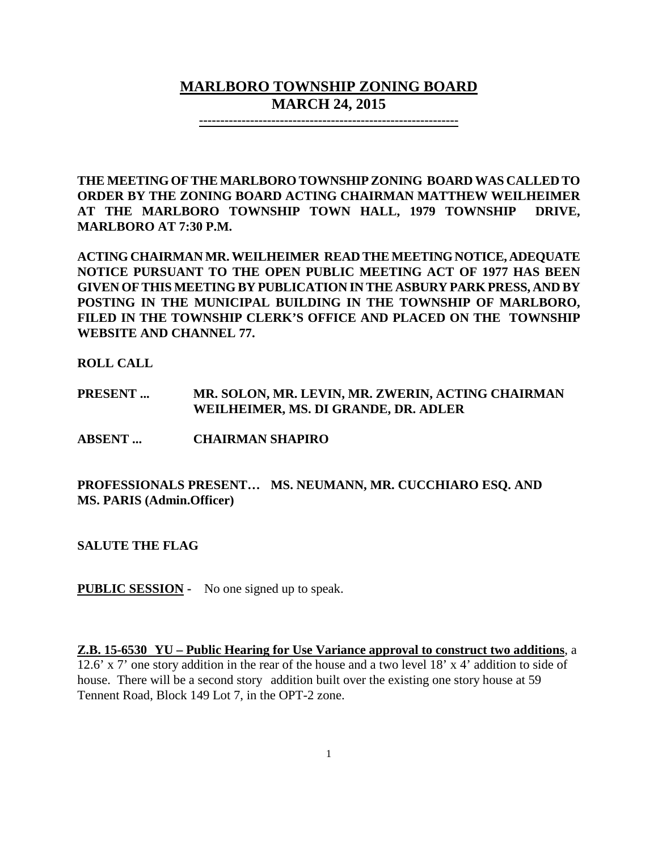# **MARLBORO TOWNSHIP ZONING BOARD MARCH 24, 2015**

**-------------------------------------------------------------**

**THE MEETING OF THE MARLBORO TOWNSHIP ZONING BOARD WAS CALLED TO ORDER BY THE ZONING BOARD ACTING CHAIRMAN MATTHEW WEILHEIMER AT THE MARLBORO TOWNSHIP TOWN HALL, 1979 TOWNSHIP DRIVE, MARLBORO AT 7:30 P.M.**

**ACTING CHAIRMAN MR. WEILHEIMER READ THE MEETING NOTICE, ADEQUATE NOTICE PURSUANT TO THE OPEN PUBLIC MEETING ACT OF 1977 HAS BEEN GIVEN OF THIS MEETING BY PUBLICATION IN THE ASBURY PARK PRESS, AND BY POSTING IN THE MUNICIPAL BUILDING IN THE TOWNSHIP OF MARLBORO, FILED IN THE TOWNSHIP CLERK'S OFFICE AND PLACED ON THE TOWNSHIP WEBSITE AND CHANNEL 77.**

**ROLL CALL**

**PRESENT ... MR. SOLON, MR. LEVIN, MR. ZWERIN, ACTING CHAIRMAN WEILHEIMER, MS. DI GRANDE, DR. ADLER**

**ABSENT ... CHAIRMAN SHAPIRO**

**PROFESSIONALS PRESENT… MS. NEUMANN, MR. CUCCHIARO ESQ. AND MS. PARIS (Admin.Officer)**

**SALUTE THE FLAG**

**PUBLIC SESSION -** No one signed up to speak.

**Z.B. 15-6530 YU – Public Hearing for Use Variance approval to construct two additions**, a 12.6' x 7' one story addition in the rear of the house and a two level 18' x 4' addition to side of house. There will be a second story addition built over the existing one story house at 59 Tennent Road, Block 149 Lot 7, in the OPT-2 zone.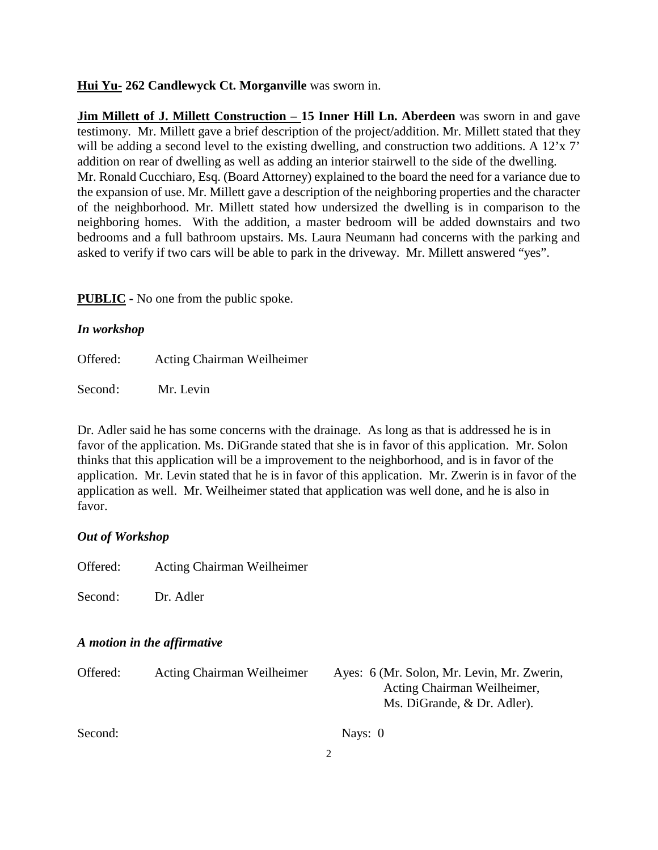#### **Hui Yu- 262 Candlewyck Ct. Morganville** was sworn in.

**Jim Millett of J. Millett Construction – 15 Inner Hill Ln. Aberdeen** was sworn in and gave testimony. Mr. Millett gave a brief description of the project/addition. Mr. Millett stated that they will be adding a second level to the existing dwelling, and construction two additions. A 12'x 7' addition on rear of dwelling as well as adding an interior stairwell to the side of the dwelling. Mr. Ronald Cucchiaro, Esq. (Board Attorney) explained to the board the need for a variance due to the expansion of use. Mr. Millett gave a description of the neighboring properties and the character of the neighborhood. Mr. Millett stated how undersized the dwelling is in comparison to the neighboring homes. With the addition, a master bedroom will be added downstairs and two bedrooms and a full bathroom upstairs. Ms. Laura Neumann had concerns with the parking and asked to verify if two cars will be able to park in the driveway. Mr. Millett answered "yes".

**PUBLIC -** No one from the public spoke.

#### *In workshop*

Offered: Acting Chairman Weilheimer

Second: Mr. Levin

Dr. Adler said he has some concerns with the drainage. As long as that is addressed he is in favor of the application. Ms. DiGrande stated that she is in favor of this application. Mr. Solon thinks that this application will be a improvement to the neighborhood, and is in favor of the application. Mr. Levin stated that he is in favor of this application. Mr. Zwerin is in favor of the application as well. Mr. Weilheimer stated that application was well done, and he is also in favor.

### *Out of Workshop*

Offered: Acting Chairman Weilheimer

Second: Dr. Adler

#### *A motion in the affirmative*

| Offered: | <b>Acting Chairman Weilheimer</b> | Ayes: 6 (Mr. Solon, Mr. Levin, Mr. Zwerin, |
|----------|-----------------------------------|--------------------------------------------|
|          |                                   | Acting Chairman Weilheimer,                |
|          |                                   | Ms. DiGrande, & Dr. Adler).                |
| Second:  |                                   | Nays: $0$                                  |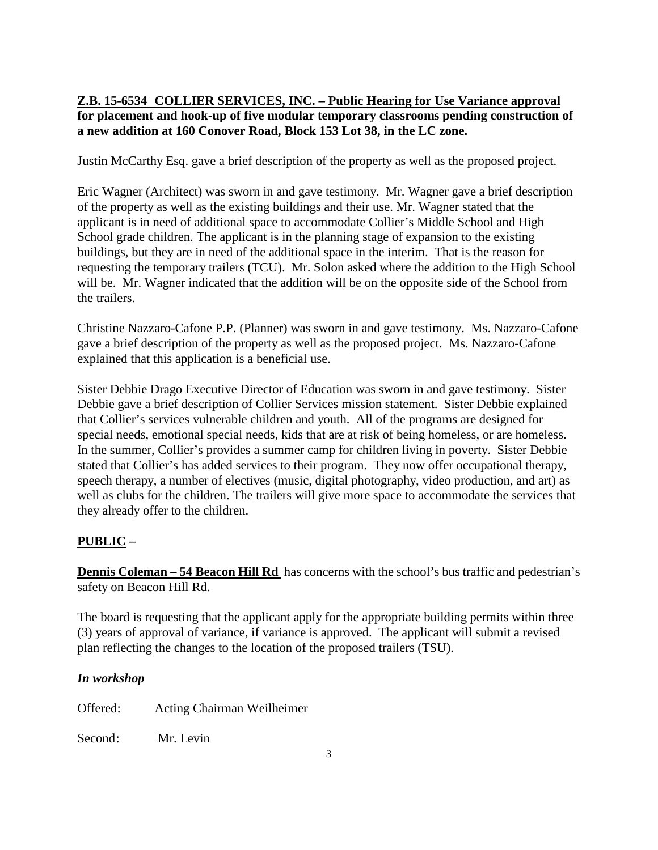## **Z.B. 15-6534 COLLIER SERVICES, INC. – Public Hearing for Use Variance approval for placement and hook-up of five modular temporary classrooms pending construction of a new addition at 160 Conover Road, Block 153 Lot 38, in the LC zone.**

Justin McCarthy Esq. gave a brief description of the property as well as the proposed project.

Eric Wagner (Architect) was sworn in and gave testimony. Mr. Wagner gave a brief description of the property as well as the existing buildings and their use. Mr. Wagner stated that the applicant is in need of additional space to accommodate Collier's Middle School and High School grade children. The applicant is in the planning stage of expansion to the existing buildings, but they are in need of the additional space in the interim. That is the reason for requesting the temporary trailers (TCU). Mr. Solon asked where the addition to the High School will be. Mr. Wagner indicated that the addition will be on the opposite side of the School from the trailers.

Christine Nazzaro-Cafone P.P. (Planner) was sworn in and gave testimony. Ms. Nazzaro-Cafone gave a brief description of the property as well as the proposed project. Ms. Nazzaro-Cafone explained that this application is a beneficial use.

Sister Debbie Drago Executive Director of Education was sworn in and gave testimony. Sister Debbie gave a brief description of Collier Services mission statement. Sister Debbie explained that Collier's services vulnerable children and youth. All of the programs are designed for special needs, emotional special needs, kids that are at risk of being homeless, or are homeless. In the summer, Collier's provides a summer camp for children living in poverty. Sister Debbie stated that Collier's has added services to their program. They now offer occupational therapy, speech therapy, a number of electives (music, digital photography, video production, and art) as well as clubs for the children. The trailers will give more space to accommodate the services that they already offer to the children.

### **PUBLIC –**

**Dennis Coleman – 54 Beacon Hill Rd** has concerns with the school's bus traffic and pedestrian's safety on Beacon Hill Rd.

The board is requesting that the applicant apply for the appropriate building permits within three (3) years of approval of variance, if variance is approved. The applicant will submit a revised plan reflecting the changes to the location of the proposed trailers (TSU).

### *In workshop*

| Offered: | Acting Chairman Weilheimer |
|----------|----------------------------|
| Second:  | Mr. Levin                  |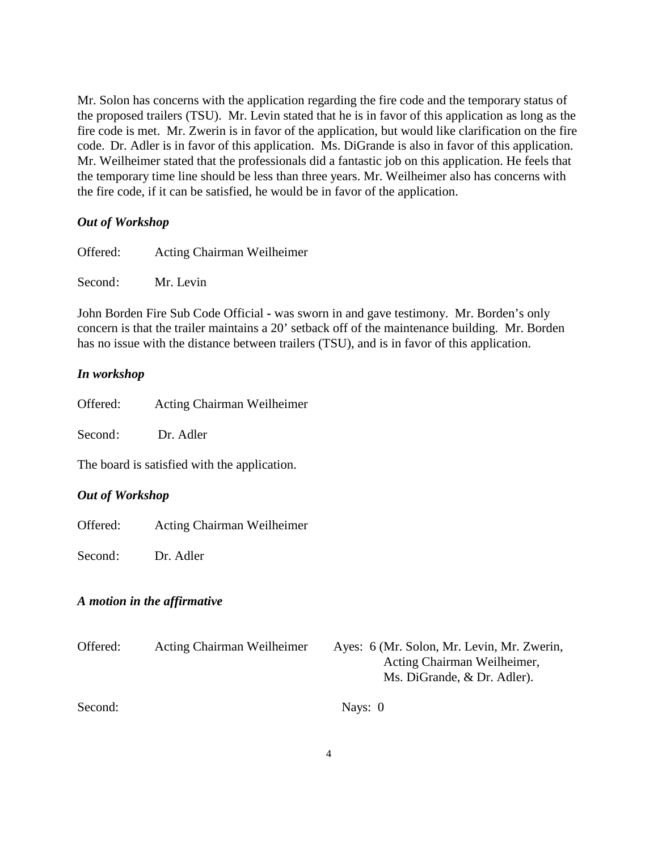Mr. Solon has concerns with the application regarding the fire code and the temporary status of the proposed trailers (TSU). Mr. Levin stated that he is in favor of this application as long as the fire code is met. Mr. Zwerin is in favor of the application, but would like clarification on the fire code. Dr. Adler is in favor of this application. Ms. DiGrande is also in favor of this application. Mr. Weilheimer stated that the professionals did a fantastic job on this application. He feels that the temporary time line should be less than three years. Mr. Weilheimer also has concerns with the fire code, if it can be satisfied, he would be in favor of the application.

#### *Out of Workshop*

| Offered: | <b>Acting Chairman Weilheimer</b> |
|----------|-----------------------------------|
| Second:  | Mr. Levin                         |

John Borden Fire Sub Code Official **-** was sworn in and gave testimony. Mr. Borden's only concern is that the trailer maintains a 20' setback off of the maintenance building. Mr. Borden has no issue with the distance between trailers (TSU), and is in favor of this application.

#### *In workshop*

| Offered: | Acting Chairman Weilheimer |  |
|----------|----------------------------|--|
|          |                            |  |

Second: Dr. Adler

The board is satisfied with the application.

#### *Out of Workshop*

Offered: Acting Chairman Weilheimer

Second: Dr. Adler

#### *A motion in the affirmative*

| Offered: | <b>Acting Chairman Weilheimer</b> | Ayes: 6 (Mr. Solon, Mr. Levin, Mr. Zwerin,<br>Acting Chairman Weilheimer,<br>Ms. DiGrande, & Dr. Adler). |
|----------|-----------------------------------|----------------------------------------------------------------------------------------------------------|
| Second:  |                                   | Nays: $0$                                                                                                |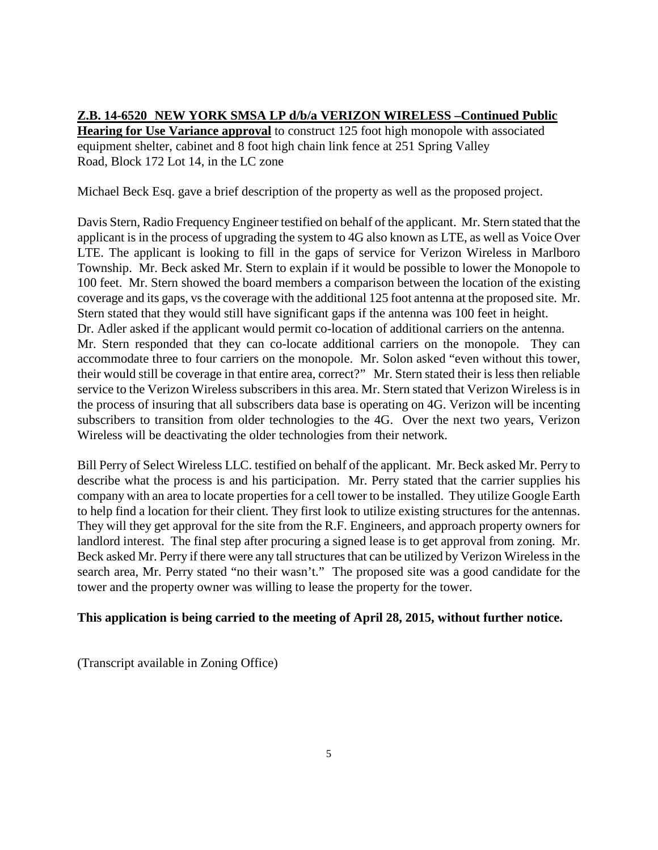# **Z.B. 14-6520 NEW YORK SMSA LP d/b/a VERIZON WIRELESS –Continued Public**

**Hearing for Use Variance approval** to construct 125 foot high monopole with associated equipment shelter, cabinet and 8 foot high chain link fence at 251 Spring Valley Road, Block 172 Lot 14, in the LC zone

Michael Beck Esq. gave a brief description of the property as well as the proposed project.

Davis Stern, Radio Frequency Engineer testified on behalf of the applicant. Mr. Stern stated that the applicant is in the process of upgrading the system to 4G also known as LTE, as well as Voice Over LTE. The applicant is looking to fill in the gaps of service for Verizon Wireless in Marlboro Township. Mr. Beck asked Mr. Stern to explain if it would be possible to lower the Monopole to 100 feet. Mr. Stern showed the board members a comparison between the location of the existing coverage and its gaps, vs the coverage with the additional 125 foot antenna at the proposed site. Mr. Stern stated that they would still have significant gaps if the antenna was 100 feet in height. Dr. Adler asked if the applicant would permit co-location of additional carriers on the antenna. Mr. Stern responded that they can co-locate additional carriers on the monopole. They can accommodate three to four carriers on the monopole. Mr. Solon asked "even without this tower, their would still be coverage in that entire area, correct?" Mr. Stern stated their is less then reliable service to the Verizon Wireless subscribers in this area. Mr. Stern stated that Verizon Wireless is in the process of insuring that all subscribers data base is operating on 4G. Verizon will be incenting subscribers to transition from older technologies to the 4G. Over the next two years, Verizon Wireless will be deactivating the older technologies from their network.

Bill Perry of Select Wireless LLC. testified on behalf of the applicant. Mr. Beck asked Mr. Perry to describe what the process is and his participation. Mr. Perry stated that the carrier supplies his company with an area to locate properties for a cell tower to be installed. They utilize Google Earth to help find a location for their client. They first look to utilize existing structures for the antennas. They will they get approval for the site from the R.F. Engineers, and approach property owners for landlord interest. The final step after procuring a signed lease is to get approval from zoning. Mr. Beck asked Mr. Perry if there were any tall structures that can be utilized by Verizon Wireless in the search area, Mr. Perry stated "no their wasn't." The proposed site was a good candidate for the tower and the property owner was willing to lease the property for the tower.

### **This application is being carried to the meeting of April 28, 2015, without further notice.**

(Transcript available in Zoning Office)